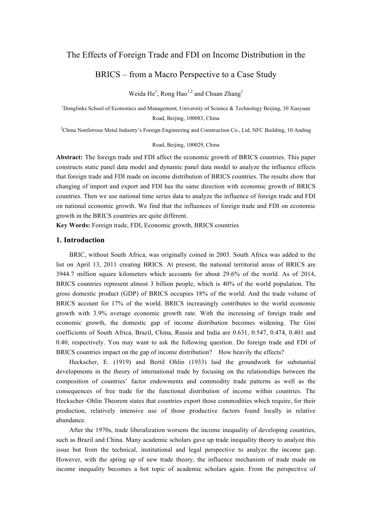## The Effects of Foreign Trade and FDI on Income Distribution in the

# BRICS – from a Macro Perspective to a Case Study

Weida  $He<sup>1</sup>$ , Rong Hao<sup>1,2</sup> and Chuan Zhang<sup>1</sup>

<sup>1</sup>Donglinks School of Economics and Management, University of Science & Technology Beijing, 30 Xueyuan Road, Beijing, 100083, China

<sup>2</sup>China Nonferrous Metal Industry's Foreign Engineering and Construction Co., Ltd, NFC Building, 10 Anding

#### Road, Beijing, 100029, China

**Abstract:** The foreign trade and FDI affect the economic growth of BRICS countries. This paper constructs static panel data model and dynamic panel data model to analyze the influence effects that foreign trade and FDI made on income distribution of BRICS countries. The results show that changing of import and export and FDI has the same direction with economic growth of BRICS countries. Then we use national time series data to analyze the influence of foreign trade and FDI on national economic growth. We find that the influences of foreign trade and FDI on economic growth in the BRICS countries are quite different.

**Key Words:** Foreign trade, FDI, Economic growth, BRICS countries

#### **1. Introduction**

BRIC, without South Africa, was originally coined in 2003. South Africa was added to the list on April 13, 2011 creating BRICS. At present, the national territorial areas of BRICS are 3944.7 million square kilometers which accounts for about 29.6% of the world. As of 2014, BRICS countries represent almost 3 billion people, which is 40% of the world population. The gross domestic product (GDP) of BRICS occupies 18% of the world. And the trade volume of BRICS account for 17% of the world. BRICS increasingly contributes to the world economic growth with 3.9% average economic growth rate. With the increasing of foreign trade and economic growth, the domestic gap of income distribution becomes widening. The Gini coefficients of South Africa, Brazil, China, Russia and India are 0.631, 0.547, 0.474, 0.401 and 0.40, respectively. You may want to ask the following question. Do foreign trade and FDI of BRICS countries impact on the gap of income distribution? How heavily the effects?

Heckscher, E. (1919) and Bertil Ohlin (1933) laid the groundwork for substantial developments in the theory of international trade by focusing on the relationships between the composition of countries' factor endowments and commodity trade patterns as well as the consequences of free trade for the functional distribution of income within countries. The Heckscher–Ohlin Theorem states that countries export those commodities which require, for their production, relatively intensive use of those productive factors found locally in relative abundance.

After the 1970s, trade liberalization worsens the income inequality of developing countries, such as Brazil and China. Many academic scholars gave up trade inequality theory to analyze this issue but from the technical, institutional and legal perspective to analyze the income gap. However, with the spring up of new trade theory, the influence mechanism of trade made on income inequality becomes a hot topic of academic scholars again. From the perspective of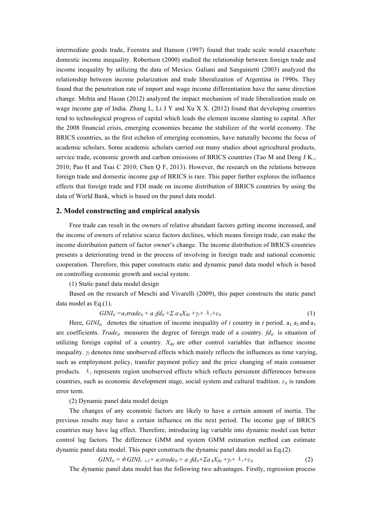intermediate goods trade, Feenstra and Hanson (1997) found that trade scale would exacerbate domestic income inequality. Robertson (2000) studied the relationship between foreign trade and income inequality by utilizing the data of Mexico. Galiani and Sanguinetti (2003) analyzed the relationship between income polarization and trade liberalization of Argentina in 1990s. They found that the penetration rate of import and wage income differentiation have the same direction change. Mehta and Hasan (2012) analyzed the impact mechanism of trade liberalization made on wage income gap of India. Zhang L, Li J Y and Xu X X. (2012) found that developing countries tend to technological progress of capital which leads the element income slanting to capital. After the 2008 financial crisis, emerging economies became the stabilizer of the world economy. The BRICS countries, as the first echelon of emerging economies, have naturally become the focus of academic scholars. Some academic scholars carried out many studies about agricultural products, service trade, economic growth and carbon emissions of BRICS countries (Tao M and Deng J K., 2010; Pao H and Tsai C 2010; Chen Q F, 2013). However, the research on the relations between foreign trade and domestic income gap of BRICS is rare. This paper further explores the influence effects that foreign trade and FDI made on income distribution of BRICS countries by using the data of World Bank, which is based on the panel data model.

#### **2. Model constructing and empirical analysis**

Free trade can result in the owners of relative abundant factors getting income increased, and the income of owners of relative scarce factors declines, which means foreign trade, can make the income distribution pattern of factor owner's change. The income distribution of BRICS countries presents a deteriorating trend in the process of involving in foreign trade and national economic cooperation. Therefore, this paper constructs static and dynamic panel data model which is based on controlling economic growth and social system.

(1) Static panel data model design

Based on the research of Meschi and Vivarelli (2009), this paper constructs the static panel data model as Eq.(1).

$$
GINI_{it} = a_1 trade_{it} + a_2 f d_{it} + \sum a_k X_{ikt} + \gamma_t + \lambda_i + \varepsilon_{it}
$$
\n
$$
\tag{1}
$$

Here,  $GINI_{it}$  denotes the situation of income inequality of *i* country in *t* period.  $a_1$ ,  $a_2$  and  $a_3$ are coefficients. *Trade<sub>it</sub>* measures the degree of foreign trade of a country. *fd<sub>it</sub>* is situation of utilizing foreign capital of a country. *Xikt* are other control variables that influence income inequality. *γ<sup>t</sup>* denotes time unobserved effects which mainly reflects the influences as time varying, such as employment policy, transfer payment policy and the price changing of main consumer products.  $\lambda_i$  represents region unobserved effects which reflects persistent differences between countries, such as economic development stage, social system and cultural tradition. *ɛit* is random error term.

(2) Dynamic panel data model design

 The changes of any economic factors are likely to have a certain amount of inertia. The previous results may have a certain influence on the next period. The income gap of BRICS countries may have lag effect. Therefore, introducing lag variable into dynamic model can better control lag factors. The difference GMM and system GMM estimation method can estimate dynamic panel data model. This paper constructs the dynamic panel data model as Eq.(2).

 $GINI_{it} = \phi \ GINI_{i}, t_1 + a_1 trade_{it} + a_2fd_{it} + \sum a_k X_{ikt} + \gamma_t + \lambda_i + \varepsilon_{it}$  (2)

The dynamic panel data model has the following two advantages. Firstly, regression process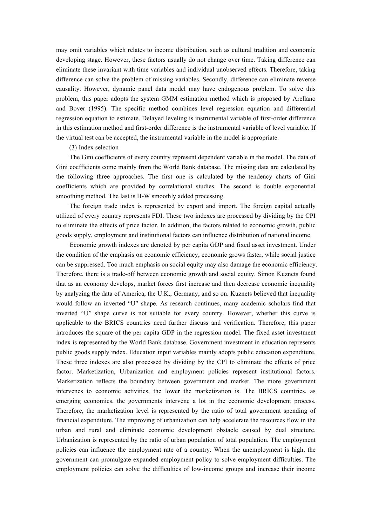may omit variables which relates to income distribution, such as cultural tradition and economic developing stage. However, these factors usually do not change over time. Taking difference can eliminate these invariant with time variables and individual unobserved effects. Therefore, taking difference can solve the problem of missing variables. Secondly, difference can eliminate reverse causality. However, dynamic panel data model may have endogenous problem. To solve this problem, this paper adopts the system GMM estimation method which is proposed by Arellano and Bover (1995). The specific method combines level regression equation and differential regression equation to estimate. Delayed leveling is instrumental variable of first-order difference in this estimation method and first-order difference is the instrumental variable of level variable. If the virtual test can be accepted, the instrumental variable in the model is appropriate.

(3) Index selection

The Gini coefficients of every country represent dependent variable in the model. The data of Gini coefficients come mainly from the World Bank database. The missing data are calculated by the following three approaches. The first one is calculated by the tendency charts of Gini coefficients which are provided by correlational studies. The second is double exponential smoothing method. The last is H-W smoothly added processing.

The foreign trade index is represented by export and import. The foreign capital actually utilized of every country represents FDI. These two indexes are processed by dividing by the CPI to eliminate the effects of price factor. In addition, the factors related to economic growth, public goods supply, employment and institutional factors can influence distribution of national income.

Economic growth indexes are denoted by per capita GDP and fixed asset investment. Under the condition of the emphasis on economic efficiency, economic grows faster, while social justice can be suppressed. Too much emphasis on social equity may also damage the economic efficiency. Therefore, there is a trade-off between economic growth and social equity. Simon Kuznets found that as an economy develops, market forces first increase and then decrease economic inequality by analyzing the data of America, the U.K., Germany, and so on. Kuznets believed that inequality would follow an inverted "U" shape. As research continues, many academic scholars find that inverted "U" shape curve is not suitable for every country. However, whether this curve is applicable to the BRICS countries need further discuss and verification. Therefore, this paper introduces the square of the per capita GDP in the regression model. The fixed asset investment index is represented by the World Bank database. Government investment in education represents public goods supply index. Education input variables mainly adopts public education expenditure. These three indexes are also processed by dividing by the CPI to eliminate the effects of price factor. Marketization, Urbanization and employment policies represent institutional factors. Marketization reflects the boundary between government and market. The more government intervenes to economic activities, the lower the marketization is. The BRICS countries, as emerging economies, the governments intervene a lot in the economic development process. Therefore, the marketization level is represented by the ratio of total government spending of financial expenditure. The improving of urbanization can help accelerate the resources flow in the urban and rural and eliminate economic development obstacle caused by dual structure. Urbanization is represented by the ratio of urban population of total population. The employment policies can influence the employment rate of a country. When the unemployment is high, the government can promulgate expanded employment policy to solve employment difficulties. The employment policies can solve the difficulties of low-income groups and increase their income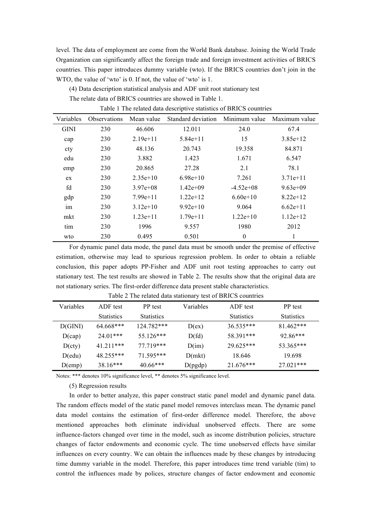level. The data of employment are come from the World Bank database. Joining the World Trade Organization can significantly affect the foreign trade and foreign investment activities of BRICS countries. This paper introduces dummy variable (wto). If the BRICS countries don't join in the WTO, the value of 'wto' is 0. If not, the value of 'wto' is 1.

(4) Data description statistical analysis and ADF unit root stationary test

The relate data of BRICS countries are showed in Table 1.

| Variables   | <b>Observations</b> | Mean value                | Standard deviation | Minimum value    | Maximum value |
|-------------|---------------------|---------------------------|--------------------|------------------|---------------|
| <b>GINI</b> | 230                 | 46.606                    | 12.011             | 24.0             | 67.4          |
| cap         | 230                 | $2.19e+11$                | $5.84e+11$         | 15               | $3.85e+12$    |
| cty         | 230                 | 48.136<br>20.743          |                    | 19.358<br>84.871 |               |
| edu         | 230                 | 3.882                     | 1.423              | 1.671            | 6.547         |
| emp         | 230                 | 20.865                    | 27.28              | 2.1              | 78.1          |
| ex          | 230                 | $2.35e+10$                | $6.98e+10$         | 7.261            | $3.71e+11$    |
| fd          | 230                 | $1.42e+09$<br>$3.97e+0.8$ |                    | $-4.52e+08$      | $9.63e+09$    |
| gdp         | 230                 | $7.99e+11$                | $1.22e+12$         | $6.60e+10$       | $8.22e+12$    |
| im          | 230                 | $3.12e+10$                | $9.92e+10$         | 9.064            | $6.62e+11$    |
| mkt         | 230                 | $1.23e+11$                | $1.79e+11$         | $1.22e+10$       | $1.12e+12$    |
| tim         | 230                 | 1996                      | 9.557              | 1980             | 2012          |
| wto         | 230                 | 0.495                     | 0.501              | $\theta$         | 1             |

Table 1 The related data descriptive statistics of BRICS countries

For dynamic panel data mode, the panel data must be smooth under the premise of effective estimation, otherwise may lead to spurious regression problem. In order to obtain a reliable conclusion, this paper adopts PP-Fisher and ADF unit root testing approaches to carry out stationary test. The test results are showed in Table 2. The results show that the original data are not stationary series. The first-order difference data present stable characteristics.

| Variables | ADF test          | Variables<br>PP test |         | ADF test          | PP test           |  |
|-----------|-------------------|----------------------|---------|-------------------|-------------------|--|
|           | <b>Statistics</b> | <b>Statistics</b>    |         | <b>Statistics</b> | <b>Statistics</b> |  |
| D(GINI)   | $64.668***$       | $124.782***$         | D(ex)   | $36.535***$       | $81.462***$       |  |
| D(cap)    | $24.01***$        | $55.126***$          | D(fd)   | 58.391***         | $92.86***$        |  |
| D(cty)    | 41 211***         | 77.719***            | D(im)   | $29.625***$       | 53.365***         |  |
| D(edu)    | 48.255***         | $71.595***$          | D(mkt)  | 18.646            | 19.698            |  |
| $D$ (emp) | $38.16***$        | $40.66***$           | D(pgdp) | $21.676***$       | $27.021***$       |  |

Table 2 The related data stationary test of BRICS countries

Notes: \*\*\* denotes 10% significance level, \*\* denotes 5% significance level.

(5) Regression results

In order to better analyze, this paper construct static panel model and dynamic panel data. The random effects model of the static panel model removes interclass mean. The dynamic panel data model contains the estimation of first-order difference model. Therefore, the above mentioned approaches both eliminate individual unobserved effects. There are some influence-factors changed over time in the model, such as income distribution policies, structure changes of factor endowments and economic cycle. The time unobserved effects have similar influences on every country. We can obtain the influences made by these changes by introducing time dummy variable in the model. Therefore, this paper introduces time trend variable (tim) to control the influences made by polices, structure changes of factor endowment and economic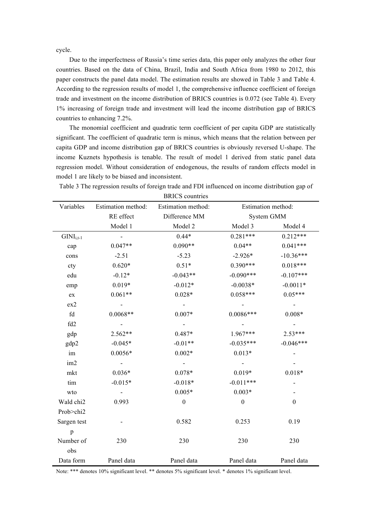cycle.

Due to the imperfectness of Russia's time series data, this paper only analyzes the other four countries. Based on the data of China, Brazil, India and South Africa from 1980 to 2012, this paper constructs the panel data model. The estimation results are showed in Table 3 and Table 4. According to the regression results of model 1, the comprehensive influence coefficient of foreign trade and investment on the income distribution of BRICS countries is 0.072 (see Table 4). Every 1% increasing of foreign trade and investment will lead the income distribution gap of BRICS countries to enhancing 7.2%.

The monomial coefficient and quadratic term coefficient of per capita GDP are statistically significant. The coefficient of quadratic term is minus, which means that the relation between per capita GDP and income distribution gap of BRICS countries is obviously reversed U-shape. The income Kuznets hypothesis is tenable. The result of model 1 derived from static panel data regression model. Without consideration of endogenous, the results of random effects model in model 1 are likely to be biased and inconsistent.

|             |                    | DIVIO COMINIOS     |                    |                  |  |
|-------------|--------------------|--------------------|--------------------|------------------|--|
| Variables   | Estimation method: | Estimation method: | Estimation method: |                  |  |
|             | RE effect          | Difference MM      | System GMM         |                  |  |
|             | Model 1            | Model 2            | Model 3            | Model 4          |  |
| $GINIi,t-1$ |                    | $0.44*$            | $0.281***$         | $0.212***$       |  |
| cap         | $0.047**$          | $0.090**$          | $0.04**$           | $0.041***$       |  |
| cons        | $-2.51$            | $-5.23$            | $-2.926*$          | $-10.36***$      |  |
| cty         | $0.620*$           | $0.51*$            | $0.390***$         | $0.018***$       |  |
| edu         | $-0.12*$           | $-0.043**$         | $-0.090***$        | $-0.107***$      |  |
| emp         | $0.019*$           | $-0.012*$          | $-0.0038*$         | $-0.0011*$       |  |
| ${\rm ex}$  | $0.061**$          | $0.028*$           | $0.058***$         | $0.05***$        |  |
| ex2         |                    |                    |                    |                  |  |
| fd          | $0.0068**$         | $0.007*$           | $0.0086***$        | $0.008*$         |  |
| fd2         | $\Box$             |                    |                    |                  |  |
| gdp         | 2.562**            | $0.487*$           | 1.967***           | $2.53***$        |  |
| gdp2        | $-0.045*$          | $-0.01**$          | $-0.035***$        | $-0.046***$      |  |
| im          | $0.0056*$          | $0.002*$           | $0.013*$           |                  |  |
| im2         |                    |                    |                    |                  |  |
| mkt         | $0.036*$           | $0.078*$           | $0.019*$           | $0.018*$         |  |
| tim         | $-0.015*$          | $-0.018*$          | $-0.011***$        |                  |  |
| wto         | $\blacksquare$     | $0.005*$           | $0.003*$           |                  |  |
| Wald chi2   | 0.993              | $\boldsymbol{0}$   | $\boldsymbol{0}$   | $\boldsymbol{0}$ |  |
| Prob>chi2   |                    |                    |                    |                  |  |
| Sargen test |                    | 0.582              | 0.253              | 0.19             |  |
| p           |                    |                    |                    |                  |  |
| Number of   | 230                | 230                | 230                | 230              |  |
| obs         |                    |                    |                    |                  |  |
| Data form   | Panel data         | Panel data         | Panel data         | Panel data       |  |

Table 3 The regression results of foreign trade and FDI influenced on income distribution gap of **BRICS** countries

Note: \*\*\* denotes 10% significant level. \*\* denotes 5% significant level. \* denotes 1% significant level.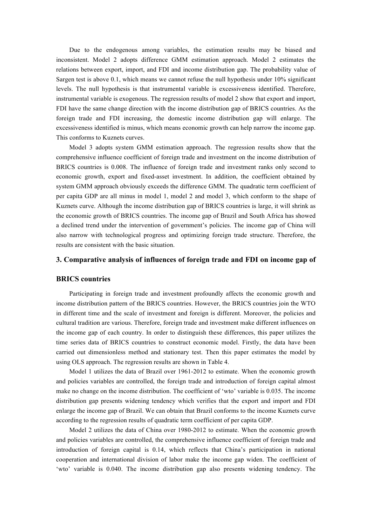Due to the endogenous among variables, the estimation results may be biased and inconsistent. Model 2 adopts difference GMM estimation approach. Model 2 estimates the relations between export, import, and FDI and income distribution gap. The probability value of Sargen test is above 0.1, which means we cannot refuse the null hypothesis under 10% significant levels. The null hypothesis is that instrumental variable is excessiveness identified. Therefore, instrumental variable is exogenous. The regression results of model 2 show that export and import, FDI have the same change direction with the income distribution gap of BRICS countries. As the foreign trade and FDI increasing, the domestic income distribution gap will enlarge. The excessiveness identified is minus, which means economic growth can help narrow the income gap. This conforms to Kuznets curves.

Model 3 adopts system GMM estimation approach. The regression results show that the comprehensive influence coefficient of foreign trade and investment on the income distribution of BRICS countries is 0.008. The influence of foreign trade and investment ranks only second to economic growth, export and fixed-asset investment. In addition, the coefficient obtained by system GMM approach obviously exceeds the difference GMM. The quadratic term coefficient of per capita GDP are all minus in model 1, model 2 and model 3, which conform to the shape of Kuznets curve. Although the income distribution gap of BRICS countries is large, it will shrink as the economic growth of BRICS countries. The income gap of Brazil and South Africa has showed a declined trend under the intervention of government's policies. The income gap of China will also narrow with technological progress and optimizing foreign trade structure. Therefore, the results are consistent with the basic situation.

#### **3. Comparative analysis of influences of foreign trade and FDI on income gap of**

### **BRICS countries**

Participating in foreign trade and investment profoundly affects the economic growth and income distribution pattern of the BRICS countries. However, the BRICS countries join the WTO in different time and the scale of investment and foreign is different. Moreover, the policies and cultural tradition are various. Therefore, foreign trade and investment make different influences on the income gap of each country. In order to distinguish these differences, this paper utilizes the time series data of BRICS countries to construct economic model. Firstly, the data have been carried out dimensionless method and stationary test. Then this paper estimates the model by using OLS approach. The regression results are shown in Table 4.

Model 1 utilizes the data of Brazil over 1961-2012 to estimate. When the economic growth and policies variables are controlled, the foreign trade and introduction of foreign capital almost make no change on the income distribution. The coefficient of 'wto' variable is 0.035. The income distribution gap presents widening tendency which verifies that the export and import and FDI enlarge the income gap of Brazil. We can obtain that Brazil conforms to the income Kuznets curve according to the regression results of quadratic term coefficient of per capita GDP.

Model 2 utilizes the data of China over 1980-2012 to estimate. When the economic growth and policies variables are controlled, the comprehensive influence coefficient of foreign trade and introduction of foreign capital is 0.14, which reflects that China's participation in national cooperation and international division of labor make the income gap widen. The coefficient of 'wto' variable is 0.040. The income distribution gap also presents widening tendency. The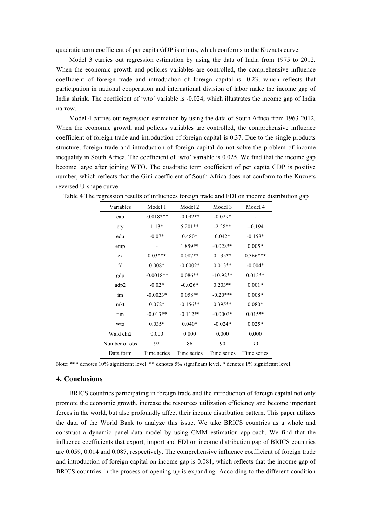quadratic term coefficient of per capita GDP is minus, which conforms to the Kuznets curve.

Model 3 carries out regression estimation by using the data of India from 1975 to 2012. When the economic growth and policies variables are controlled, the comprehensive influence coefficient of foreign trade and introduction of foreign capital is -0.23, which reflects that participation in national cooperation and international division of labor make the income gap of India shrink. The coefficient of 'wto' variable is -0.024, which illustrates the income gap of India narrow.

Model 4 carries out regression estimation by using the data of South Africa from 1963-2012. When the economic growth and policies variables are controlled, the comprehensive influence coefficient of foreign trade and introduction of foreign capital is 0.37. Due to the single products structure, foreign trade and introduction of foreign capital do not solve the problem of income inequality in South Africa. The coefficient of 'wto' variable is 0.025. We find that the income gap become large after joining WTO. The quadratic term coefficient of per capita GDP is positive number, which reflects that the Gini coefficient of South Africa does not conform to the Kuznets reversed U-shape curve.

| Variables     | Model 1     | Model 2     | Model 3     | Model 4     |
|---------------|-------------|-------------|-------------|-------------|
| cap           | $-0.018***$ | $-0.092**$  | $-0.029*$   |             |
| cty           | $1.13*$     | $5.201**$   | $-2.28**$   | $-0.194$    |
| edu           | $-0.07*$    | $0.480*$    | $0.042*$    | $-0.158*$   |
| emp           | -           | 1.859**     | $-0.028**$  | $0.005*$    |
| ex            | $0.03***$   | $0.087**$   | $0.135**$   | $0.366***$  |
| fd            | $0.008*$    | $-0.0002*$  | $0.013**$   | $-0.004*$   |
| gdp           | $-0.0018**$ | $0.086**$   | $-10.92**$  | $0.013**$   |
| gdp2          | $-0.02*$    | $-0.026*$   | $0.203**$   | $0.001*$    |
| im            | $-0.0023*$  | $0.058**$   | $-0.20***$  | $0.008*$    |
| mkt           | $0.072*$    | $-0.156**$  | 0.395**     | $0.080*$    |
| tim           | $-0.013**$  | $-0.112**$  | $-0.0003*$  | $0.015**$   |
| wto           | $0.035*$    | $0.040*$    | $-0.024*$   | $0.025*$    |
| Wald chi2     | 0.000       | 0.000       | 0.000       | 0.000       |
| Number of obs | 92          | 86          | 90          | 90          |
| Data form     | Time series | Time series | Time series | Time series |

|  |  |  |  | Table 4 The regression results of influences foreign trade and FDI on income distribution gap |  |
|--|--|--|--|-----------------------------------------------------------------------------------------------|--|
|  |  |  |  |                                                                                               |  |

Note: \*\*\* denotes 10% significant level. \*\* denotes 5% significant level. \* denotes 1% significant level.

## 4. Conclusions

BRICS countries participating in foreign trade and the introduction of foreign capital not only promote the economic growth, increase the resources utilization efficiency and become important forces in the world, but also profoundly affect their income distribution pattern. This paper utilizes the data of the World Bank to analyze this issue. We take BRICS countries as a whole and construct a dynamic panel data model by using GMM estimation approach. We find that the influence coefficients that export, import and FDI on income distribution gap of BRICS countries are 0.059, 0.014 and 0.087, respectively. The comprehensive influence coefficient of foreign trade and introduction of foreign capital on income gap is 0.081, which reflects that the income gap of BRICS countries in the process of opening up is expanding. According to the different condition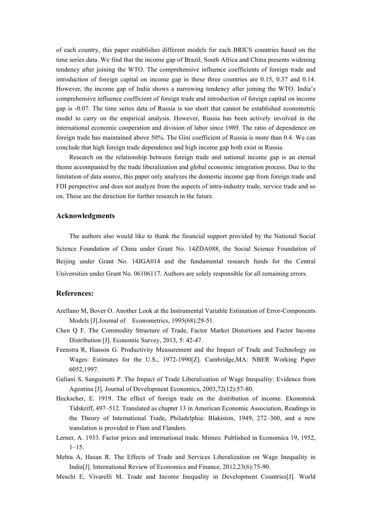of each country, this paper establishes different models for each BRICS countries based on the time series data. We find that the income gap of Brazil, South Africa and China presents widening tendency after joining the WTO. The comprehensive influence coefficients of foreign trade and introduction of foreign capital on income gap in these three countries are 0.15, 0.37 and 0.14. However, the income gap of India shows a narrowing tendency after joining the WTO. India's comprehensive influence coefficient of foreign trade and introduction of foreign capital on income gap is -0.07. The time series data of Russia is too short that cannot be established econometric model to carry on the empirical analysis. However, Russia has been actively involved in the international economic cooperation and division of labor since 1989. The ratio of dependence on foreign trade has maintained above 50%. The Gini coefficient of Russia is more than 0.4. We can conclude that high foreign trade dependence and high income gap both exist in Russia.

Research on the relationship between foreign trade and national income gap is an eternal theme accompanied by the trade liberalization and global economic integration process. Due to the limitation of data source, this paper only analyzes the domestic income gap from foreign trade and FDI perspective and does not analyze from the aspects of intra-industry trade, service trade and so on. These are the direction for further research in the future.

## **Acknowledgments**

The authors also would like to thank the financial support provided by the National Social Science Foundation of China under Grant No. 14ZDA088, the Social Science Foundation of Beijing under Grant No. 14JGA014 and the fundamental research funds for the Central Universities under Grant No. 06106117. Authors are solely responsible for all remaining errors.

## **References:**

- Arellano M, Bover O. Another Look at the Instrumental Variable Estimation of Error-Components Models [J].Journal of Econometrics, 1995(68):29-51.
- Chen Q F. The Commodity Structure of Trade, Factor Market Distortions and Factor Income Distribution [J]. Economic Survey, 2013, 5: 42-47.
- Feenstra R, Hanson G. Productivity Measurement and the Impact of Trade and Technology on Wages: Estimates for the U.S., 1972-1990[Z]. Cambridge,MA: NBER Working Paper 6052,1997.
- Galiani S, Sanguinetti P. The Impact of Trade Liberalization of Wage Inequality: Evidence from Agentina [J]. Journal of Development Economics, 2003,72(12):57-80.
- Heckscher, E. 1919. The effect of foreign trade on the distribution of income. Ekonomisk Tidskriff, 497–512. Translated as chapter 13 in American Economic Association, Readings in the Theory of International Trade, Philadelphia: Blakiston, 1949, 272–300, and a new translation is provided in Flam and Flanders.
- Lerner, A. 1933. Factor prices and international trade. Mimeo. Published in Economica 19, 1952,  $1-15.$
- Mehta A, Hasan R. The Effects of Trade and Services Liberalization on Wage Inequality in India[J]. International Review of Economics and Finance, 2012,23(6):75-90.
- Meschi E, Vivarelli M. Trade and Income Inequality in Development Countries[J]. World